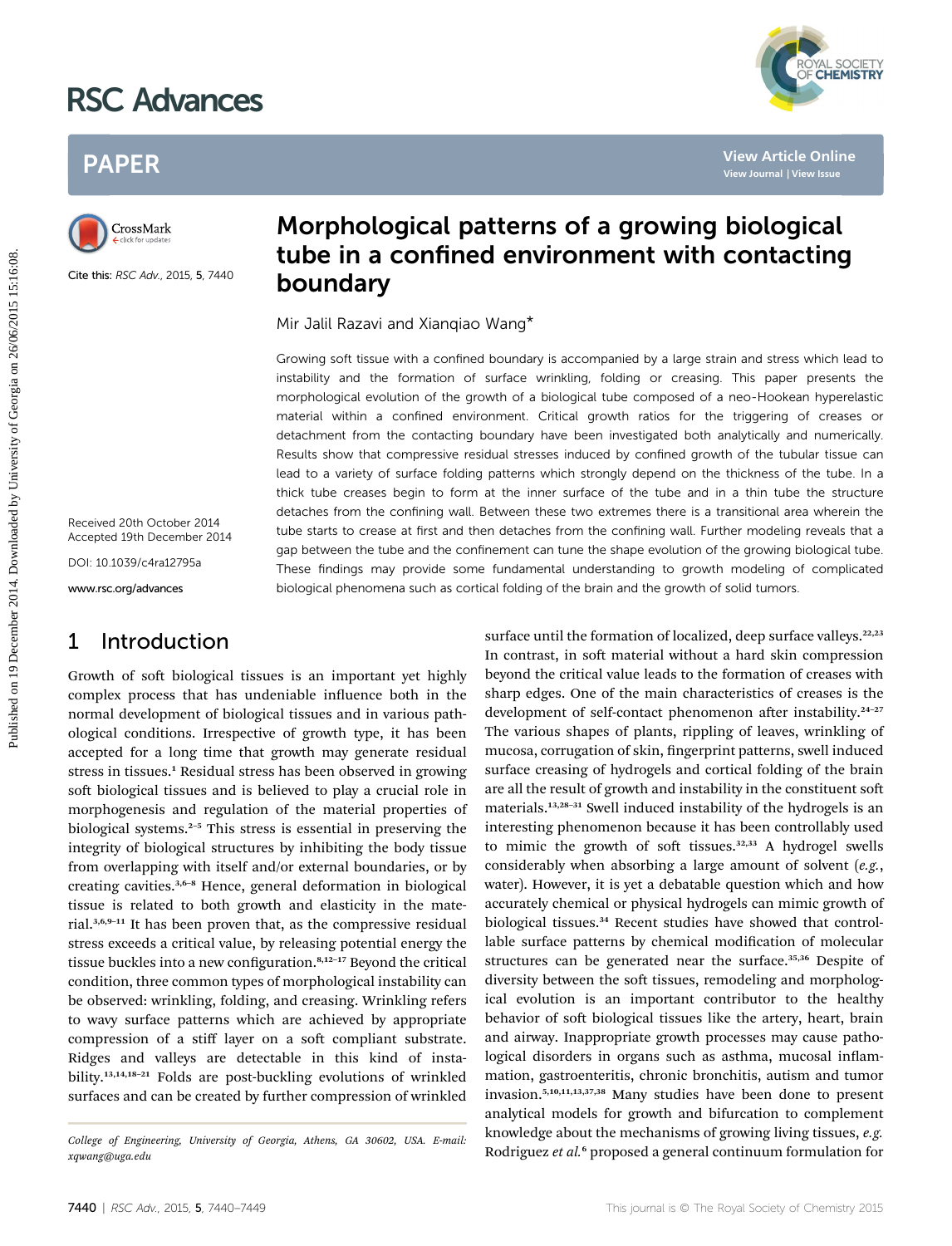# RSC Advances



# PAPER



Cite this: RSC Adv., 2015, 5, 7440

Morphological patterns of a growing biological tube in a confined environment with contacting boundary

Mir Jalil Razavi and Xianqiao Wang\*

Growing soft tissue with a confined boundary is accompanied by a large strain and stress which lead to instability and the formation of surface wrinkling, folding or creasing. This paper presents the morphological evolution of the growth of a biological tube composed of a neo-Hookean hyperelastic material within a confined environment. Critical growth ratios for the triggering of creases or detachment from the contacting boundary have been investigated both analytically and numerically. Results show that compressive residual stresses induced by confined growth of the tubular tissue can lead to a variety of surface folding patterns which strongly depend on the thickness of the tube. In a thick tube creases begin to form at the inner surface of the tube and in a thin tube the structure detaches from the confining wall. Between these two extremes there is a transitional area wherein the tube starts to crease at first and then detaches from the confining wall. Further modeling reveals that a gap between the tube and the confinement can tune the shape evolution of the growing biological tube. These findings may provide some fundamental understanding to growth modeling of complicated biological phenomena such as cortical folding of the brain and the growth of solid tumors. **PAPER**<br> **Published on 19 December 2014.**<br> **Published on 19 December 2014.**<br> **Published on 19 December 2014.**<br> **Published SCAN. 2015.5.7440**<br> **Doundary**<br>
Mir. Jaili Razavi and Xianqiao Wang<sup>4</sup><br>
Scrowing soft tissue with a

Received 20th October 2014 Accepted 19th December 2014

DOI: 10.1039/c4ra12795a

www.rsc.org/advances

# 1 Introduction

Growth of soft biological tissues is an important yet highly complex process that has undeniable influence both in the normal development of biological tissues and in various pathological conditions. Irrespective of growth type, it has been accepted for a long time that growth may generate residual stress in tissues.<sup>1</sup> Residual stress has been observed in growing soft biological tissues and is believed to play a crucial role in morphogenesis and regulation of the material properties of biological systems.<sup>2-5</sup> This stress is essential in preserving the integrity of biological structures by inhibiting the body tissue from overlapping with itself and/or external boundaries, or by creating cavities.3,6–<sup>8</sup> Hence, general deformation in biological tissue is related to both growth and elasticity in the material.3,6,9–<sup>11</sup> It has been proven that, as the compressive residual stress exceeds a critical value, by releasing potential energy the tissue buckles into a new configuration.<sup>8,12-17</sup> Beyond the critical condition, three common types of morphological instability can be observed: wrinkling, folding, and creasing. Wrinkling refers to wavy surface patterns which are achieved by appropriate compression of a stiff layer on a soft compliant substrate. Ridges and valleys are detectable in this kind of instability.13,14,18–<sup>21</sup> Folds are post-buckling evolutions of wrinkled surfaces and can be created by further compression of wrinkled

surface until the formation of localized, deep surface valleys.<sup>22,23</sup> In contrast, in soft material without a hard skin compression beyond the critical value leads to the formation of creases with sharp edges. One of the main characteristics of creases is the development of self-contact phenomenon after instability.<sup>24-27</sup> The various shapes of plants, rippling of leaves, wrinkling of mucosa, corrugation of skin, fingerprint patterns, swell induced surface creasing of hydrogels and cortical folding of the brain are all the result of growth and instability in the constituent soft materials.13,28–<sup>31</sup> Swell induced instability of the hydrogels is an interesting phenomenon because it has been controllably used to mimic the growth of soft tissues. $32,33$  A hydrogel swells considerably when absorbing a large amount of solvent (e.g., water). However, it is yet a debatable question which and how accurately chemical or physical hydrogels can mimic growth of biological tissues.<sup>34</sup> Recent studies have showed that controllable surface patterns by chemical modification of molecular structures can be generated near the surface.<sup>35,36</sup> Despite of diversity between the soft tissues, remodeling and morphological evolution is an important contributor to the healthy behavior of soft biological tissues like the artery, heart, brain and airway. Inappropriate growth processes may cause pathological disorders in organs such as asthma, mucosal inflammation, gastroenteritis, chronic bronchitis, autism and tumor invasion.5,10,11,13,37,38 Many studies have been done to present analytical models for growth and bifurcation to complement knowledge about the mechanisms of growing living tissues, e.g. Rodriguez et al.<sup>6</sup> proposed a general continuum formulation for

College of Engineering, University of Georgia, Athens, GA 30602, USA. E-mail: xqwang@uga.edu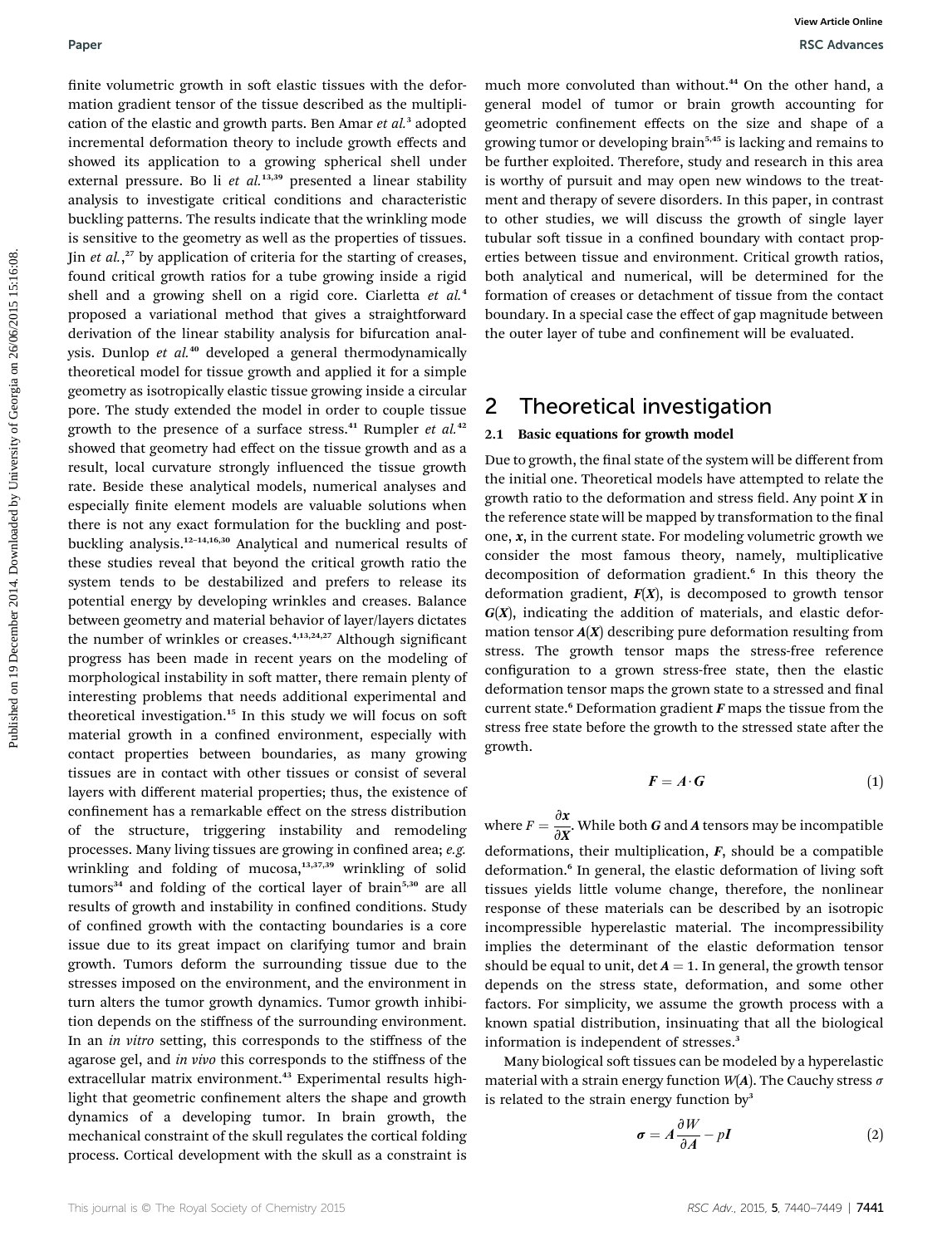finite volumetric growth in soft elastic tissues with the deformation gradient tensor of the tissue described as the multiplication of the elastic and growth parts. Ben Amar et al.<sup>3</sup> adopted incremental deformation theory to include growth effects and showed its application to a growing spherical shell under external pressure. Bo li et  $al.^{13,39}$  presented a linear stability analysis to investigate critical conditions and characteristic buckling patterns. The results indicate that the wrinkling mode is sensitive to the geometry as well as the properties of tissues. Jin et al.,<sup>27</sup> by application of criteria for the starting of creases, found critical growth ratios for a tube growing inside a rigid shell and a growing shell on a rigid core. Ciarletta et al.<sup>4</sup> proposed a variational method that gives a straightforward derivation of the linear stability analysis for bifurcation analysis. Dunlop et al.<sup>40</sup> developed a general thermodynamically theoretical model for tissue growth and applied it for a simple geometry as isotropically elastic tissue growing inside a circular pore. The study extended the model in order to couple tissue growth to the presence of a surface stress.<sup>41</sup> Rumpler et  $al$ .<sup>42</sup> showed that geometry had effect on the tissue growth and as a result, local curvature strongly influenced the tissue growth rate. Beside these analytical models, numerical analyses and especially finite element models are valuable solutions when there is not any exact formulation for the buckling and postbuckling analysis.<sup>12</sup>–14,16,30 Analytical and numerical results of these studies reveal that beyond the critical growth ratio the system tends to be destabilized and prefers to release its potential energy by developing wrinkles and creases. Balance between geometry and material behavior of layer/layers dictates the number of wrinkles or creases.<sup>4,13,24,27</sup> Although significant progress has been made in recent years on the modeling of morphological instability in soft matter, there remain plenty of interesting problems that needs additional experimental and theoretical investigation.<sup>15</sup> In this study we will focus on soft material growth in a confined environment, especially with contact properties between boundaries, as many growing tissues are in contact with other tissues or consist of several layers with different material properties; thus, the existence of confinement has a remarkable effect on the stress distribution of the structure, triggering instability and remodeling processes. Many living tissues are growing in confined area; e.g. wrinkling and folding of mucosa,<sup>13,37,39</sup> wrinkling of solid tumors<sup>34</sup> and folding of the cortical layer of brain<sup>5,30</sup> are all results of growth and instability in confined conditions. Study of confined growth with the contacting boundaries is a core issue due to its great impact on clarifying tumor and brain growth. Tumors deform the surrounding tissue due to the stresses imposed on the environment, and the environment in turn alters the tumor growth dynamics. Tumor growth inhibition depends on the stiffness of the surrounding environment. In an in vitro setting, this corresponds to the stiffness of the agarose gel, and in vivo this corresponds to the stiffness of the extracellular matrix environment.<sup>43</sup> Experimental results highlight that geometric confinement alters the shape and growth dynamics of a developing tumor. In brain growth, the mechanical constraint of the skull regulates the cortical folding process. Cortical development with the skull as a constraint is **Paper** Wave that the solution of control in the defect much mate convoluted bin on the solution of the solution of the solution of the solution of the solution of the solution of the solution of the solution of the solut

much more convoluted than without.<sup>44</sup> On the other hand, a general model of tumor or brain growth accounting for geometric confinement effects on the size and shape of a growing tumor or developing brain5,45 is lacking and remains to be further exploited. Therefore, study and research in this area is worthy of pursuit and may open new windows to the treatment and therapy of severe disorders. In this paper, in contrast to other studies, we will discuss the growth of single layer tubular soft tissue in a confined boundary with contact properties between tissue and environment. Critical growth ratios, both analytical and numerical, will be determined for the formation of creases or detachment of tissue from the contact boundary. In a special case the effect of gap magnitude between the outer layer of tube and confinement will be evaluated.

## 2 Theoretical investigation

#### 2.1 Basic equations for growth model

Due to growth, the final state of the system will be different from the initial one. Theoretical models have attempted to relate the growth ratio to the deformation and stress field. Any point  $X$  in the reference state will be mapped by transformation to the final one,  $x$ , in the current state. For modeling volumetric growth we consider the most famous theory, namely, multiplicative decomposition of deformation gradient.<sup>6</sup> In this theory the deformation gradient,  $F(X)$ , is decomposed to growth tensor  $G(X)$ , indicating the addition of materials, and elastic deformation tensor  $A(X)$  describing pure deformation resulting from stress. The growth tensor maps the stress-free reference configuration to a grown stress-free state, then the elastic deformation tensor maps the grown state to a stressed and final current state.<sup>6</sup> Deformation gradient  $F$  maps the tissue from the stress free state before the growth to the stressed state after the growth.

$$
\boldsymbol{F} = \boldsymbol{A} \cdot \boldsymbol{G} \tag{1}
$$

where  $F = \frac{\partial x}{\partial X}$ . While both G and A tensors may be incompatible deformations, their multiplication,  $F$ , should be a compatible deformation.<sup>6</sup> In general, the elastic deformation of living soft tissues yields little volume change, therefore, the nonlinear response of these materials can be described by an isotropic incompressible hyperelastic material. The incompressibility implies the determinant of the elastic deformation tensor should be equal to unit,  $\det A = 1$ . In general, the growth tensor depends on the stress state, deformation, and some other factors. For simplicity, we assume the growth process with a known spatial distribution, insinuating that all the biological information is independent of stresses.<sup>3</sup>

Many biological soft tissues can be modeled by a hyperelastic material with a strain energy function  $W(A)$ . The Cauchy stress  $\sigma$ is related to the strain energy function  $by<sup>3</sup>$ 

$$
\sigma = A \frac{\partial W}{\partial A} - pI \tag{2}
$$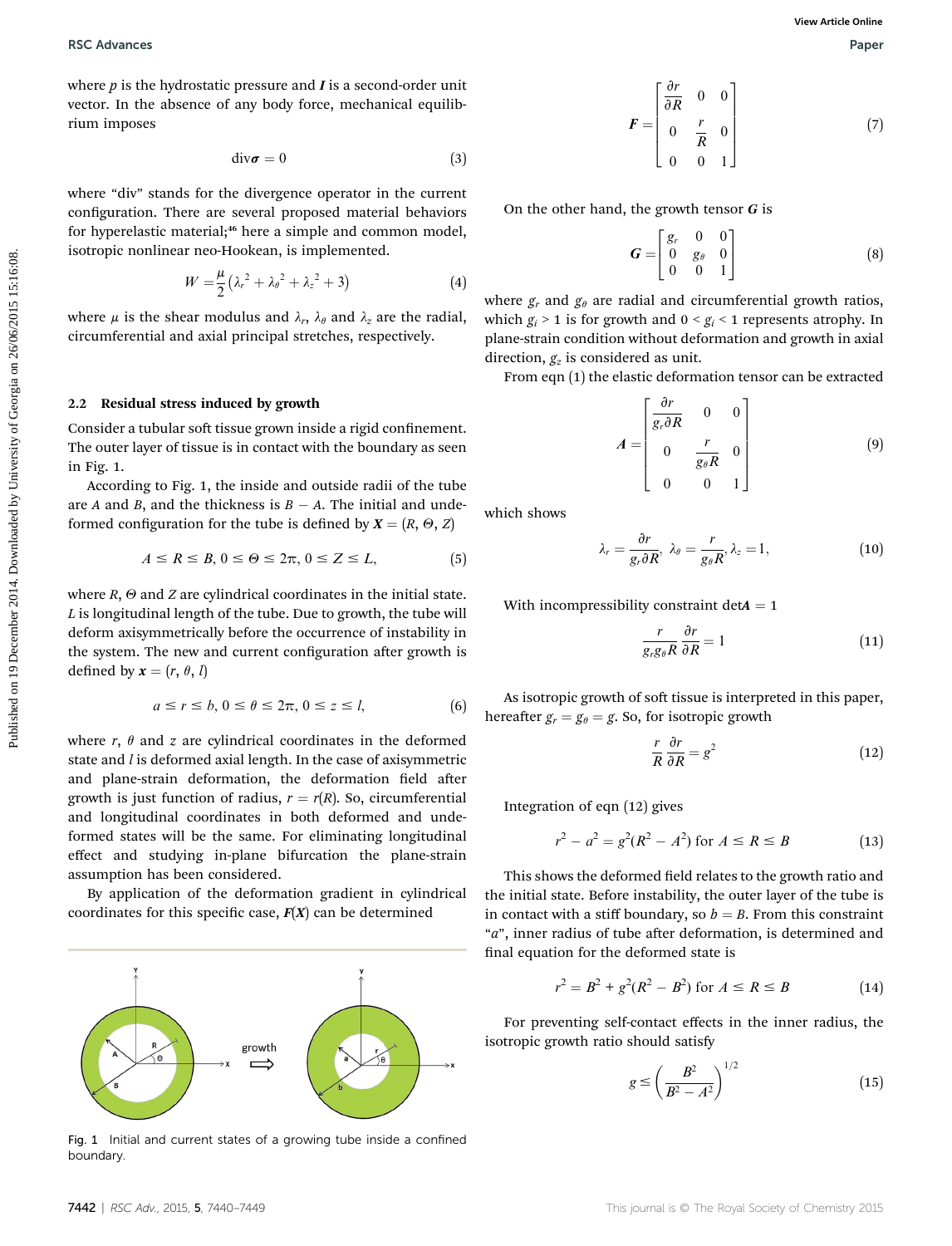where  $p$  is the hydrostatic pressure and  $I$  is a second-order unit vector. In the absence of any body force, mechanical equilibrium imposes

$$
div\boldsymbol{\sigma}=0\tag{3}
$$

where "div" stands for the divergence operator in the current configuration. There are several proposed material behaviors for hyperelastic material;<sup>46</sup> here a simple and common model, isotropic nonlinear neo-Hookean, is implemented.

$$
W = \frac{\mu}{2} \left( \lambda_r^2 + \lambda_\theta^2 + \lambda_z^2 + 3 \right) \tag{4}
$$

where  $\mu$  is the shear modulus and  $\lambda_r$ ,  $\lambda_\theta$  and  $\lambda_z$  are the radial, circumferential and axial principal stretches, respectively.

#### 2.2 Residual stress induced by growth

Consider a tubular soft tissue grown inside a rigid confinement. The outer layer of tissue is in contact with the boundary as seen in Fig. 1.

According to Fig. 1, the inside and outside radii of the tube are  $A$  and  $B$ , and the thickness is  $B - A$ . The initial and undeformed configuration for the tube is defined by  $X = (R, \Theta, Z)$ 

$$
A \le R \le B, 0 \le \Theta \le 2\pi, 0 \le Z \le L,\tag{5}
$$

where  $R$ ,  $\Theta$  and  $Z$  are cylindrical coordinates in the initial state.  $L$  is longitudinal length of the tube. Due to growth, the tube will deform axisymmetrically before the occurrence of instability in the system. The new and current configuration after growth is defined by  $\mathbf{x} = (r, \theta, l)$ **PEC** Advances<br>
where y lis the hydrostatic pressure and *L* is second-order unit<br>
vector. In the absence of any boxly force, mechanical equilib-<br>
structure of  $V$  and  $V$  and  $V$  are the effective on the discussion of  $F$ 

$$
a \le r \le b, \quad 0 \le \theta \le 2\pi, \quad 0 \le z \le l,\tag{6}
$$

where  $r$ ,  $\theta$  and  $z$  are cylindrical coordinates in the deformed state and *l* is deformed axial length. In the case of axisymmetric and plane-strain deformation, the deformation field after growth is just function of radius,  $r = r(R)$ . So, circumferential and longitudinal coordinates in both deformed and undeformed states will be the same. For eliminating longitudinal effect and studying in-plane bifurcation the plane-strain assumption has been considered.

By application of the deformation gradient in cylindrical coordinates for this specific case,  $F(X)$  can be determined



Fig. 1 Initial and current states of a growing tube inside a confined boundary.

$$
F = \begin{bmatrix} \frac{\partial r}{\partial R} & 0 & 0 \\ 0 & \frac{r}{R} & 0 \\ 0 & 0 & 1 \end{bmatrix}
$$
 (7)

On the other hand, the growth tensor  $G$  is

$$
G = \begin{bmatrix} g_r & 0 & 0 \\ 0 & g_\theta & 0 \\ 0 & 0 & 1 \end{bmatrix}
$$
 (8)

where  $g_r$  and  $g_\theta$  are radial and circumferential growth ratios, which  $g_i > 1$  is for growth and  $0 < g_i < 1$  represents atrophy. In plane-strain condition without deformation and growth in axial direction,  $g_z$  is considered as unit.

From eqn (1) the elastic deformation tensor can be extracted

$$
A = \begin{bmatrix} \frac{\partial r}{g_r \partial R} & 0 & 0\\ 0 & \frac{r}{g_\theta R} & 0\\ 0 & 0 & 1 \end{bmatrix} \tag{9}
$$

which shows

$$
\lambda_r = \frac{\partial r}{g_r \partial R}, \ \lambda_\theta = \frac{r}{g_\theta R}, \lambda_z = 1, \tag{10}
$$

With incompressibility constraint  $detA = 1$ 

$$
\frac{r}{g_r g_\theta R} \frac{\partial r}{\partial R} = 1 \tag{11}
$$

As isotropic growth of soft tissue is interpreted in this paper, hereafter  $g_r = g_\theta = g$ . So, for isotropic growth

$$
\frac{r}{R}\frac{\partial r}{\partial R} = g^2\tag{12}
$$

Integration of eqn (12) gives

$$
r^2 - a^2 = g^2(R^2 - A^2) \text{ for } A \le R \le B \tag{13}
$$

This shows the deformed field relates to the growth ratio and the initial state. Before instability, the outer layer of the tube is in contact with a stiff boundary, so  $b = B$ . From this constraint "a", inner radius of tube after deformation, is determined and final equation for the deformed state is

$$
r^2 = B^2 + g^2(R^2 - B^2) \text{ for } A \le R \le B \tag{14}
$$

For preventing self-contact effects in the inner radius, the isotropic growth ratio should satisfy

$$
g \le \left(\frac{B^2}{B^2 - A^2}\right)^{1/2} \tag{15}
$$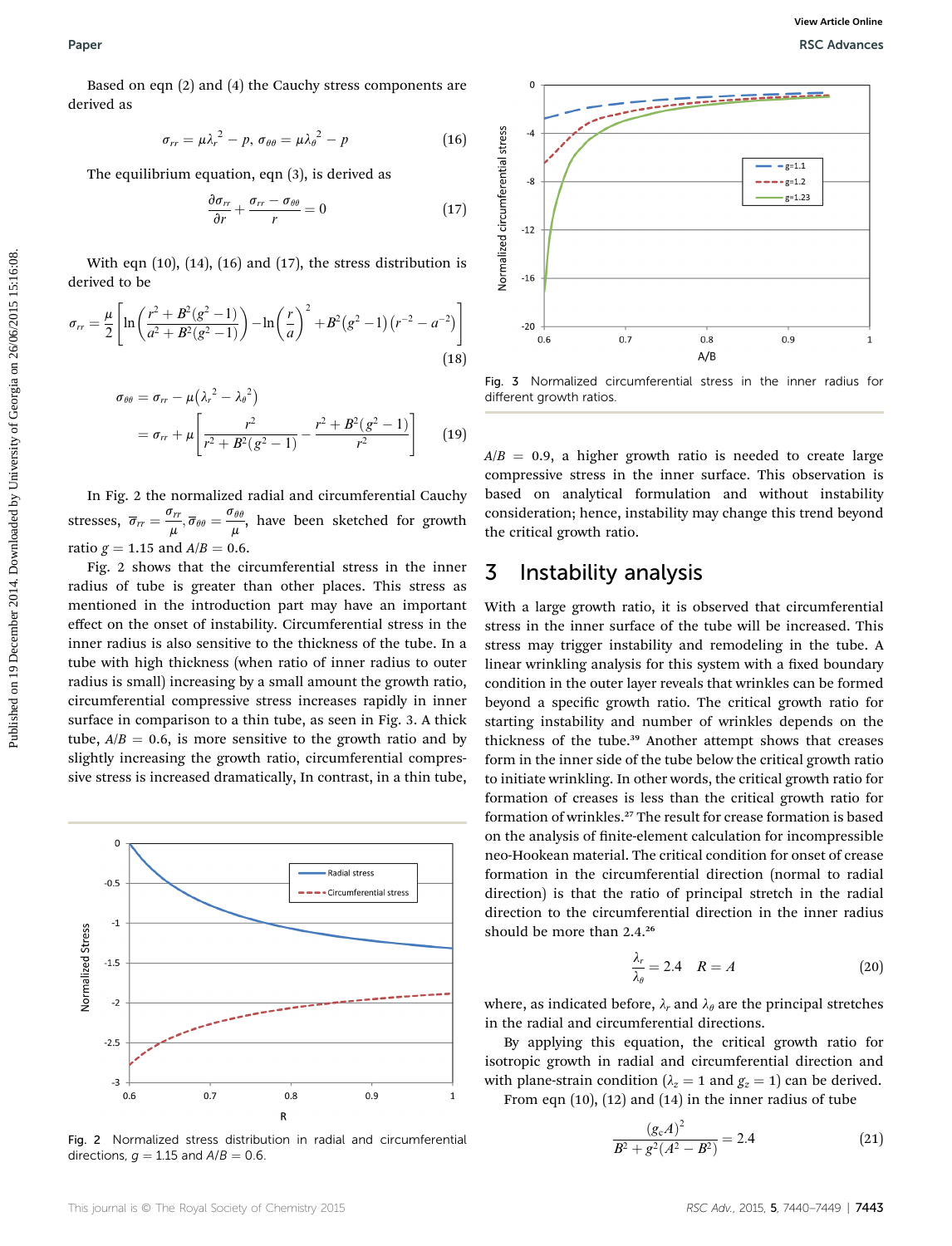Based on eqn (2) and (4) the Cauchy stress components are derived as

$$
\sigma_{rr} = \mu \lambda_r^2 - p, \, \sigma_{\theta\theta} = \mu \lambda_\theta^2 - p \tag{16}
$$

The equilibrium equation, eqn (3), is derived as

$$
\frac{\partial \sigma_{rr}}{\partial r} + \frac{\sigma_{rr} - \sigma_{\theta\theta}}{r} = 0 \tag{17}
$$

With eqn  $(10)$ ,  $(14)$ ,  $(16)$  and  $(17)$ , the stress distribution is derived to be

$$
r_{rr} = \frac{\mu}{2} \left[ \ln \left( \frac{r^2 + B^2 (g^2 - 1)}{a^2 + B^2 (g^2 - 1)} \right) - \ln \left( \frac{r}{a} \right)^2 + B^2 (g^2 - 1) \left( r^{-2} - a^{-2} \right) \right]
$$
\n(18)

$$
\sigma_{\theta\theta} = \sigma_{rr} - \mu (\lambda_r^2 - \lambda_\theta^2)
$$
  
=  $\sigma_{rr} + \mu \left[ \frac{r^2}{r^2 + B^2 (g^2 - 1)} - \frac{r^2 + B^2 (g^2 - 1)}{r^2} \right]$  (19)

In Fig. 2 the normalized radial and circumferential Cauchy stresses,  $\overline{\sigma}_{rr} = \frac{\sigma_{rr}}{\mu}, \overline{\sigma}_{\theta\theta} = \frac{\sigma_{\theta\theta}}{\mu}$ , have been sketched for growth ratio  $g = 1.15$  and  $A/B = 0.6$ .

Fig. 2 shows that the circumferential stress in the inner radius of tube is greater than other places. This stress as mentioned in the introduction part may have an important effect on the onset of instability. Circumferential stress in the inner radius is also sensitive to the thickness of the tube. In a tube with high thickness (when ratio of inner radius to outer radius is small) increasing by a small amount the growth ratio, circumferential compressive stress increases rapidly in inner surface in comparison to a thin tube, as seen in Fig. 3. A thick tube,  $A/B = 0.6$ , is more sensitive to the growth ratio and by slightly increasing the growth ratio, circumferential compressive stress is increased dramatically, In contrast, in a thin tube,



Fig. 2 Normalized stress distribution in radial and circumferential directions,  $q = 1.15$  and  $A/B = 0.6$ .



Fig. 3 Normalized circumferential stress in the inner radius for different growth ratios.

 $A/B = 0.9$ , a higher growth ratio is needed to create large compressive stress in the inner surface. This observation is based on analytical formulation and without instability consideration; hence, instability may change this trend beyond the critical growth ratio.

## 3 Instability analysis

With a large growth ratio, it is observed that circumferential stress in the inner surface of the tube will be increased. This stress may trigger instability and remodeling in the tube. A linear wrinkling analysis for this system with a fixed boundary condition in the outer layer reveals that wrinkles can be formed beyond a specific growth ratio. The critical growth ratio for starting instability and number of wrinkles depends on the thickness of the tube.<sup>39</sup> Another attempt shows that creases form in the inner side of the tube below the critical growth ratio to initiate wrinkling. In other words, the critical growth ratio for formation of creases is less than the critical growth ratio for formation of wrinkles.<sup>27</sup> The result for crease formation is based on the analysis of nite-element calculation for incompressible neo-Hookean material. The critical condition for onset of crease formation in the circumferential direction (normal to radial direction) is that the ratio of principal stretch in the radial direction to the circumferential direction in the inner radius should be more than  $2.4.^{26}$ 

$$
\frac{\lambda_r}{\lambda_\theta} = 2.4 \quad R = A \tag{20}
$$

where, as indicated before,  $\lambda_r$  and  $\lambda_\theta$  are the principal stretches in the radial and circumferential directions.

By applying this equation, the critical growth ratio for isotropic growth in radial and circumferential direction and with plane-strain condition ( $\lambda_z = 1$  and  $g_z = 1$ ) can be derived. From eqn  $(10)$ ,  $(12)$  and  $(14)$  in the inner radius of tube

$$
\frac{(g_c A)^2}{B^2 + g^2 (A^2 - B^2)} = 2.4
$$
 (21)

o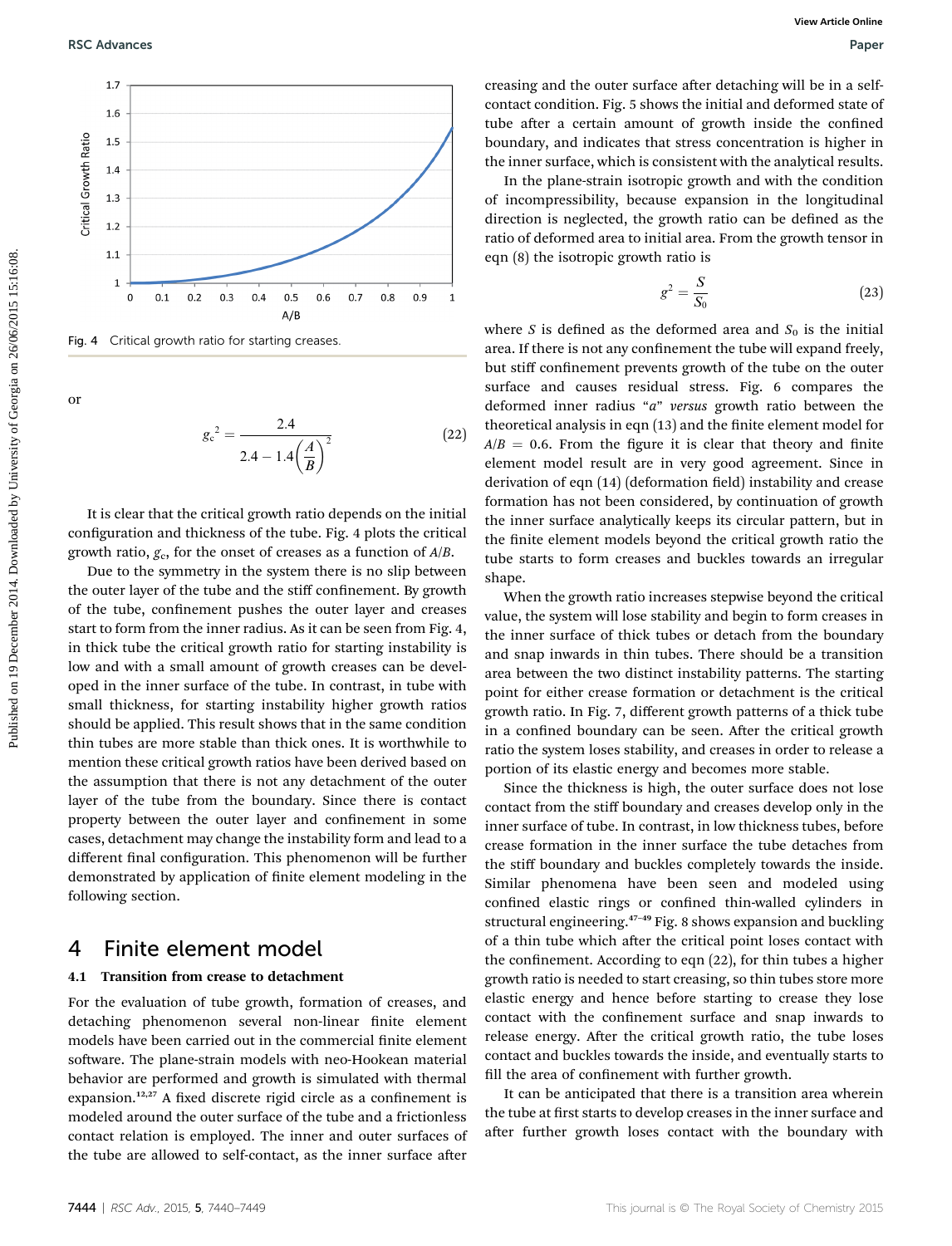

Fig. 4 Critical growth ratio for starting creases

or

$$
g_c^2 = \frac{2.4}{2.4 - 1.4\left(\frac{A}{B}\right)^2} \tag{22}
$$

It is clear that the critical growth ratio depends on the initial configuration and thickness of the tube. Fig. 4 plots the critical growth ratio,  $g_c$ , for the onset of creases as a function of  $A/B$ .

Due to the symmetry in the system there is no slip between the outer layer of the tube and the stiff confinement. By growth of the tube, confinement pushes the outer layer and creases start to form from the inner radius. As it can be seen from Fig. 4, in thick tube the critical growth ratio for starting instability is low and with a small amount of growth creases can be developed in the inner surface of the tube. In contrast, in tube with small thickness, for starting instability higher growth ratios should be applied. This result shows that in the same condition thin tubes are more stable than thick ones. It is worthwhile to mention these critical growth ratios have been derived based on the assumption that there is not any detachment of the outer layer of the tube from the boundary. Since there is contact property between the outer layer and confinement in some cases, detachment may change the instability form and lead to a different final configuration. This phenomenon will be further demonstrated by application of finite element modeling in the following section.

#### 4 Finite element model

#### 4.1 Transition from crease to detachment

For the evaluation of tube growth, formation of creases, and detaching phenomenon several non-linear finite element models have been carried out in the commercial finite element software. The plane-strain models with neo-Hookean material behavior are performed and growth is simulated with thermal expansion.<sup>12,27</sup> A fixed discrete rigid circle as a confinement is modeled around the outer surface of the tube and a frictionless contact relation is employed. The inner and outer surfaces of the tube are allowed to self-contact, as the inner surface after

creasing and the outer surface after detaching will be in a selfcontact condition. Fig. 5 shows the initial and deformed state of tube after a certain amount of growth inside the confined boundary, and indicates that stress concentration is higher in the inner surface, which is consistent with the analytical results.

In the plane-strain isotropic growth and with the condition of incompressibility, because expansion in the longitudinal direction is neglected, the growth ratio can be defined as the ratio of deformed area to initial area. From the growth tensor in eqn (8) the isotropic growth ratio is

$$
g^2 = \frac{S}{S_0} \tag{23}
$$

where S is defined as the deformed area and  $S_0$  is the initial area. If there is not any confinement the tube will expand freely, but stiff confinement prevents growth of the tube on the outer surface and causes residual stress. Fig. 6 compares the deformed inner radius "a" versus growth ratio between the theoretical analysis in eqn (13) and the finite element model for  $A/B = 0.6$ . From the figure it is clear that theory and finite element model result are in very good agreement. Since in derivation of eqn (14) (deformation field) instability and crease formation has not been considered, by continuation of growth the inner surface analytically keeps its circular pattern, but in the finite element models beyond the critical growth ratio the tube starts to form creases and buckles towards an irregular shape. **PURE Advances**<br>
Property of the state of the state of the state of the state of the state of the state of the state of the state of the state of the state of the state of the state of the state of the state of the state

When the growth ratio increases stepwise beyond the critical value, the system will lose stability and begin to form creases in the inner surface of thick tubes or detach from the boundary and snap inwards in thin tubes. There should be a transition area between the two distinct instability patterns. The starting point for either crease formation or detachment is the critical growth ratio. In Fig. 7, different growth patterns of a thick tube in a confined boundary can be seen. After the critical growth ratio the system loses stability, and creases in order to release a portion of its elastic energy and becomes more stable.

Since the thickness is high, the outer surface does not lose contact from the stiff boundary and creases develop only in the inner surface of tube. In contrast, in low thickness tubes, before crease formation in the inner surface the tube detaches from the stiff boundary and buckles completely towards the inside. Similar phenomena have been seen and modeled using confined elastic rings or confined thin-walled cylinders in structural engineering.<sup>47</sup>–<sup>49</sup> Fig. 8 shows expansion and buckling of a thin tube which after the critical point loses contact with the confinement. According to eqn  $(22)$ , for thin tubes a higher growth ratio is needed to start creasing, so thin tubes store more elastic energy and hence before starting to crease they lose contact with the confinement surface and snap inwards to release energy. After the critical growth ratio, the tube loses contact and buckles towards the inside, and eventually starts to fill the area of confinement with further growth.

It can be anticipated that there is a transition area wherein the tube at first starts to develop creases in the inner surface and after further growth loses contact with the boundary with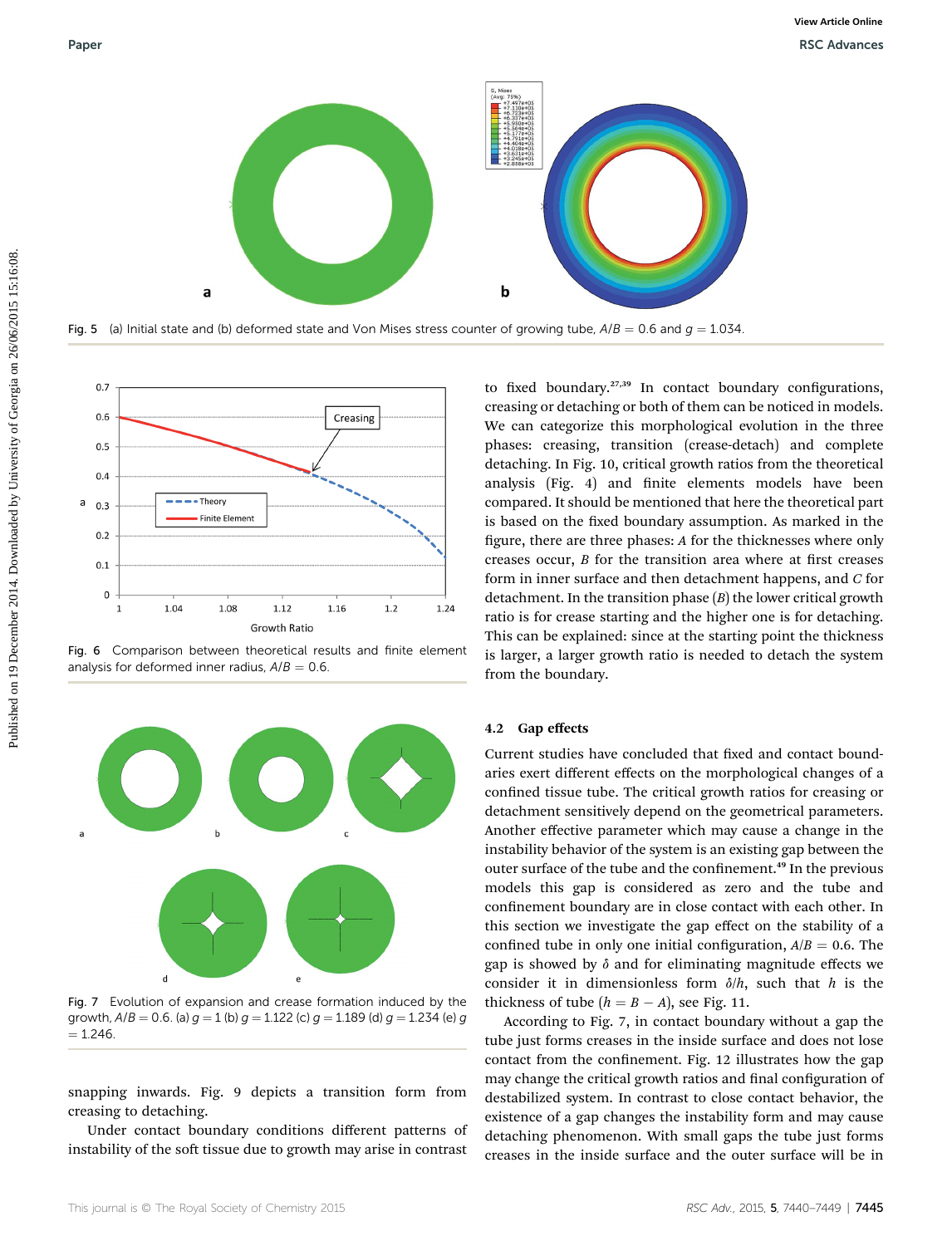

Fig. 5 (a) Initial state and (b) deformed state and Von Mises stress counter of growing tube,  $A/B = 0.6$  and  $q = 1.034$ .



Fig. 6 Comparison between theoretical results and finite element analysis for deformed inner radius,  $A/B = 0.6$ .



Fig. 7 Evolution of expansion and crease formation induced by the growth,  $A/B = 0.6$ . (a)  $q = 1$  (b)  $q = 1.122$  (c)  $q = 1.189$  (d)  $q = 1.234$  (e) q  $= 1.246$ 

snapping inwards. Fig. 9 depicts a transition form from creasing to detaching.

Under contact boundary conditions different patterns of instability of the soft tissue due to growth may arise in contrast

to fixed boundary. $27,39$  In contact boundary configurations, creasing or detaching or both of them can be noticed in models. We can categorize this morphological evolution in the three phases: creasing, transition (crease-detach) and complete detaching. In Fig. 10, critical growth ratios from the theoretical analysis (Fig. 4) and finite elements models have been compared. It should be mentioned that here the theoretical part is based on the fixed boundary assumption. As marked in the figure, there are three phases: A for the thicknesses where only creases occur,  $B$  for the transition area where at first creases form in inner surface and then detachment happens, and C for detachment. In the transition phase  $(B)$  the lower critical growth ratio is for crease starting and the higher one is for detaching. This can be explained: since at the starting point the thickness is larger, a larger growth ratio is needed to detach the system from the boundary.

#### 4.2 Gap effects

Current studies have concluded that fixed and contact boundaries exert different effects on the morphological changes of a confined tissue tube. The critical growth ratios for creasing or detachment sensitively depend on the geometrical parameters. Another effective parameter which may cause a change in the instability behavior of the system is an existing gap between the outer surface of the tube and the confinement.<sup>49</sup> In the previous models this gap is considered as zero and the tube and confinement boundary are in close contact with each other. In this section we investigate the gap effect on the stability of a confined tube in only one initial configuration,  $A/B = 0.6$ . The gap is showed by  $\delta$  and for eliminating magnitude effects we consider it in dimensionless form  $\delta/h$ , such that h is the thickness of tube  $(h = B - A)$ , see Fig. 11.

According to Fig. 7, in contact boundary without a gap the tube just forms creases in the inside surface and does not lose contact from the confinement. Fig. 12 illustrates how the gap may change the critical growth ratios and final configuration of destabilized system. In contrast to close contact behavior, the existence of a gap changes the instability form and may cause detaching phenomenon. With small gaps the tube just forms creases in the inside surface and the outer surface will be in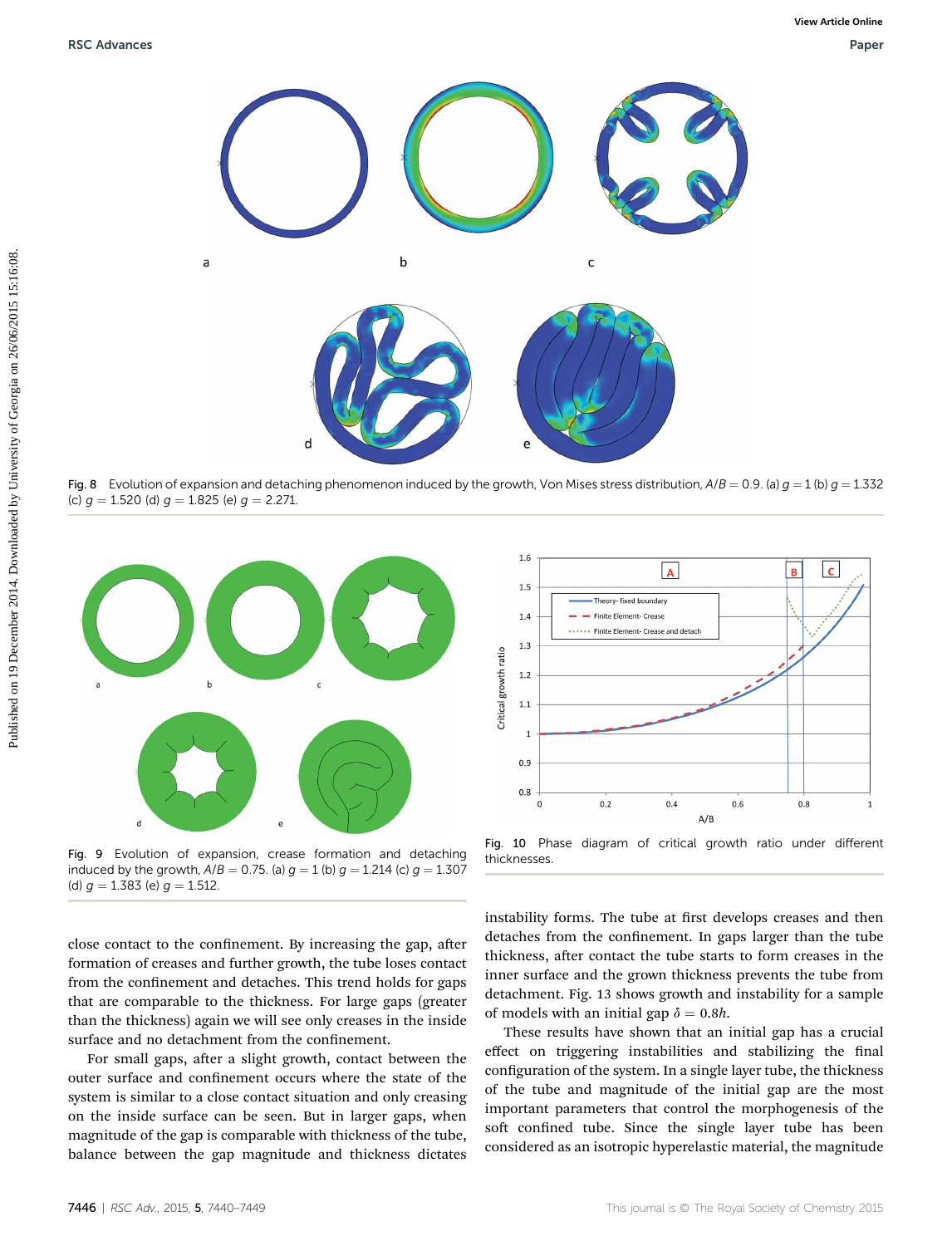

Fig. 8 Evolution of expansion and detaching phenomenon induced by the growth, Von Mises stress distribution,  $A/B = 0.9$ . (a)  $g = 1$  (b)  $g = 1.332$ (c)  $g = 1.520$  (d)  $g = 1.825$  (e)  $g = 2.271$ .



Fig. 9 Evolution of expansion, crease formation and detaching induced by the growth,  $A/B = 0.75$ . (a)  $g = 1$  (b)  $g = 1.214$  (c)  $g = 1.307$ (d)  $g = 1.383$  (e)  $g = 1.512$ .

close contact to the confinement. By increasing the gap, after formation of creases and further growth, the tube loses contact from the confinement and detaches. This trend holds for gaps that are comparable to the thickness. For large gaps (greater than the thickness) again we will see only creases in the inside surface and no detachment from the confinement.

For small gaps, after a slight growth, contact between the outer surface and confinement occurs where the state of the system is similar to a close contact situation and only creasing on the inside surface can be seen. But in larger gaps, when magnitude of the gap is comparable with thickness of the tube, balance between the gap magnitude and thickness dictates



Fig. 10 Phase diagram of critical growth ratio under different thicknesses.

instability forms. The tube at first develops creases and then detaches from the confinement. In gaps larger than the tube thickness, after contact the tube starts to form creases in the inner surface and the grown thickness prevents the tube from detachment. Fig. 13 shows growth and instability for a sample of models with an initial gap  $\delta = 0.8h$ .

These results have shown that an initial gap has a crucial effect on triggering instabilities and stabilizing the final configuration of the system. In a single layer tube, the thickness of the tube and magnitude of the initial gap are the most important parameters that control the morphogenesis of the soft confined tube. Since the single layer tube has been considered as an isotropic hyperelastic material, the magnitude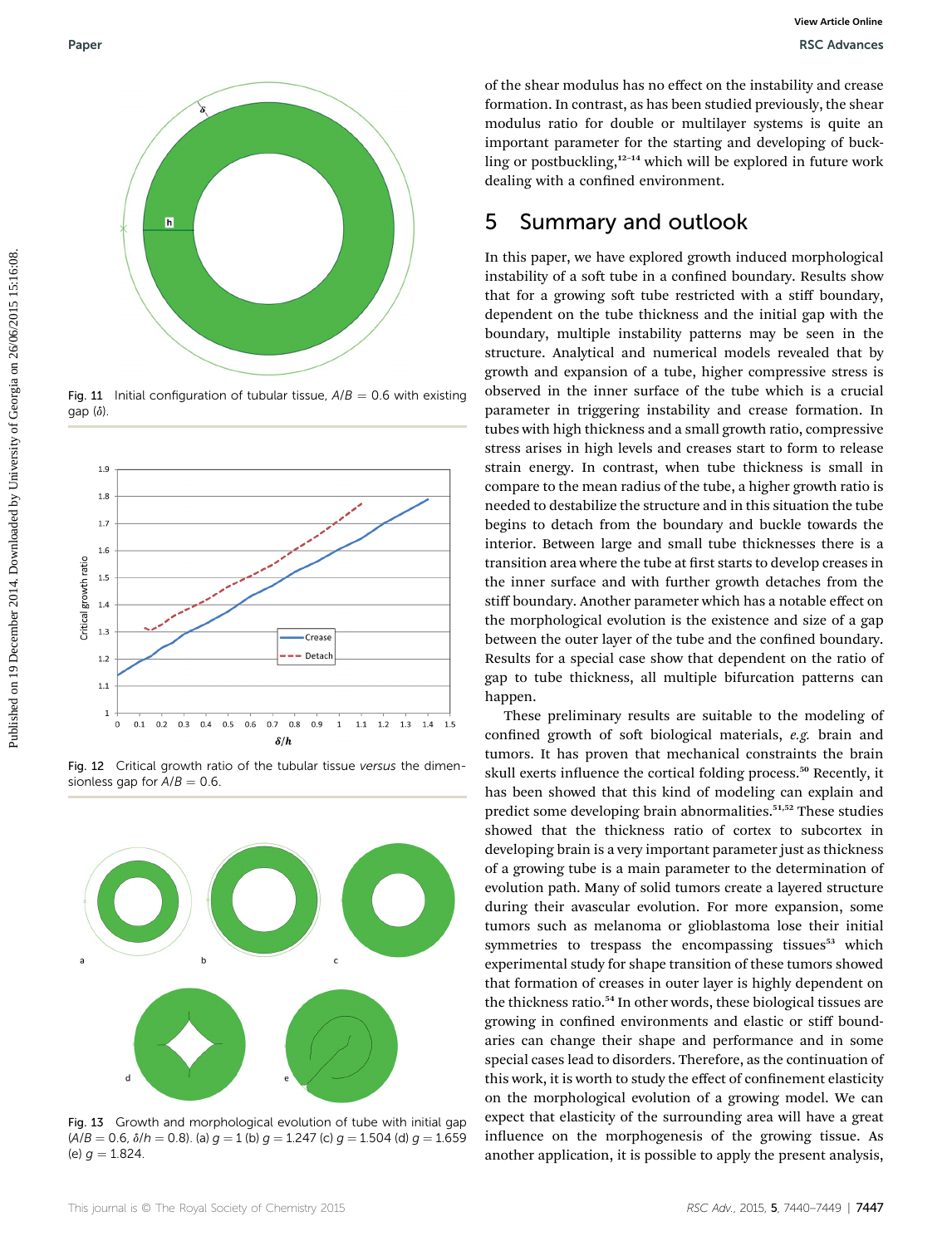

Fig. 11 Initial configuration of tubular tissue,  $A/B = 0.6$  with existing gap  $(\delta)$ 



Fig. 12 Critical growth ratio of the tubular tissue versus the dimensionless gap for  $A/B = 0.6$ 



Fig. 13 Growth and morphological evolution of tube with initial gap  $(A/B = 0.6, \delta/h = 0.8)$ . (a)  $q = 1$  (b)  $q = 1.247$  (c)  $q = 1.504$  (d)  $q = 1.659$ (e)  $q = 1.824$ .

of the shear modulus has no effect on the instability and crease formation. In contrast, as has been studied previously, the shear modulus ratio for double or multilayer systems is quite an important parameter for the starting and developing of buckling or postbuckling,<sup>12-14</sup> which will be explored in future work dealing with a confined environment.

# 5 Summary and outlook

In this paper, we have explored growth induced morphological instability of a soft tube in a confined boundary. Results show that for a growing soft tube restricted with a stiff boundary, dependent on the tube thickness and the initial gap with the boundary, multiple instability patterns may be seen in the structure. Analytical and numerical models revealed that by growth and expansion of a tube, higher compressive stress is observed in the inner surface of the tube which is a crucial parameter in triggering instability and crease formation. In tubes with high thickness and a small growth ratio, compressive stress arises in high levels and creases start to form to release strain energy. In contrast, when tube thickness is small in compare to the mean radius of the tube, a higher growth ratio is needed to destabilize the structure and in this situation the tube begins to detach from the boundary and buckle towards the interior. Between large and small tube thicknesses there is a transition area where the tube at first starts to develop creases in the inner surface and with further growth detaches from the stiff boundary. Another parameter which has a notable effect on the morphological evolution is the existence and size of a gap between the outer layer of the tube and the confined boundary. Results for a special case show that dependent on the ratio of gap to tube thickness, all multiple bifurcation patterns can happen. Puper<br>
Puper with the share modular has no effect on the intensity and crosses of the current periodic since the beauting put disosely<br>
impact in the same since the beauting put disoselying or busk-<br>
impact in the same si

These preliminary results are suitable to the modeling of confined growth of soft biological materials, e.g. brain and tumors. It has proven that mechanical constraints the brain skull exerts influence the cortical folding process.<sup>50</sup> Recently, it has been showed that this kind of modeling can explain and predict some developing brain abnormalities.<sup>51,52</sup> These studies showed that the thickness ratio of cortex to subcortex in developing brain is a very important parameter just as thickness of a growing tube is a main parameter to the determination of evolution path. Many of solid tumors create a layered structure during their avascular evolution. For more expansion, some tumors such as melanoma or glioblastoma lose their initial symmetries to trespass the encompassing tissues<sup>53</sup> which experimental study for shape transition of these tumors showed that formation of creases in outer layer is highly dependent on the thickness ratio.<sup>54</sup> In other words, these biological tissues are growing in confined environments and elastic or stiff boundaries can change their shape and performance and in some special cases lead to disorders. Therefore, as the continuation of this work, it is worth to study the effect of confinement elasticity on the morphological evolution of a growing model. We can expect that elasticity of the surrounding area will have a great influence on the morphogenesis of the growing tissue. As another application, it is possible to apply the present analysis,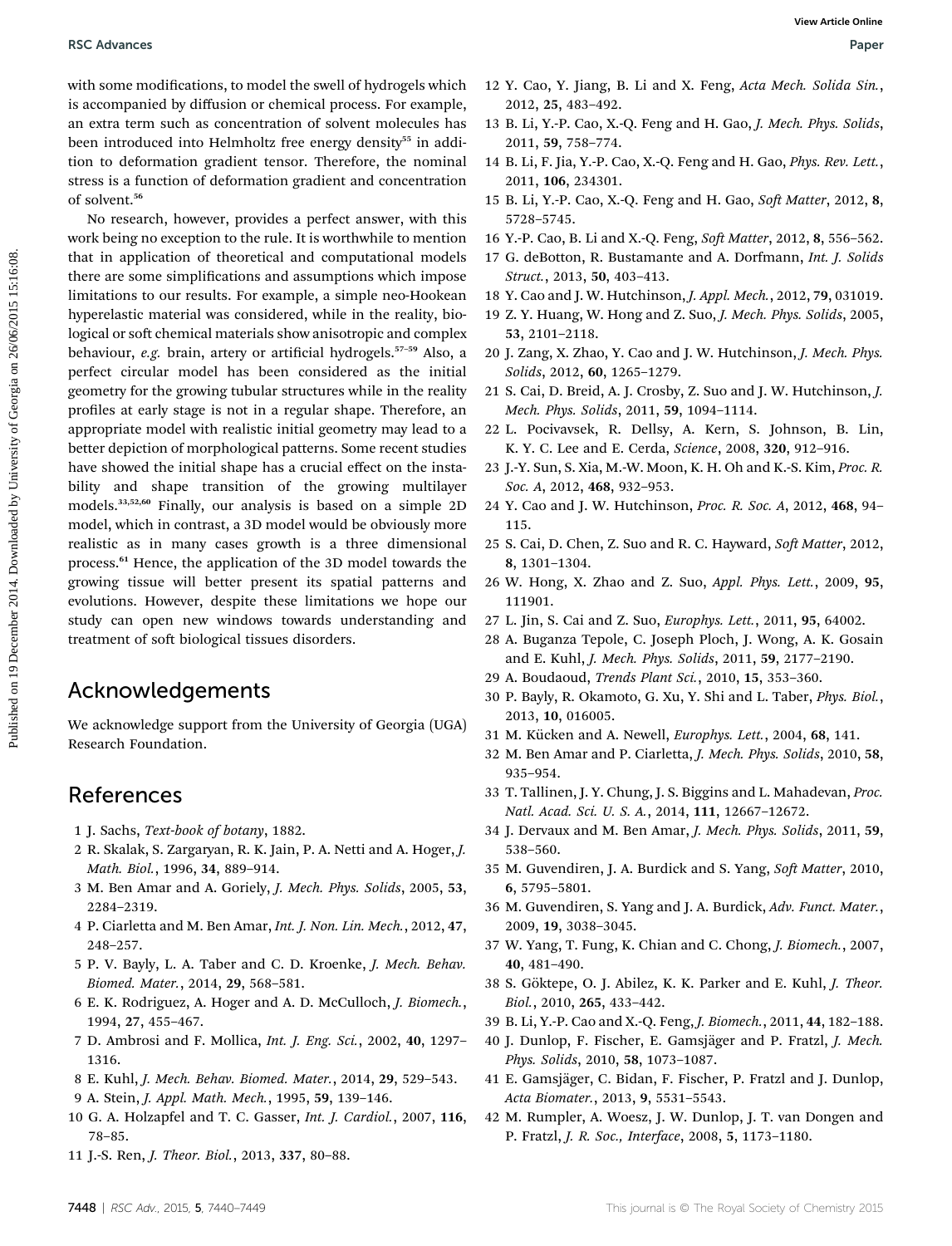with some modifications, to model the swell of hydrogels which is accompanied by diffusion or chemical process. For example, an extra term such as concentration of solvent molecules has been introduced into Helmholtz free energy density<sup>55</sup> in addition to deformation gradient tensor. Therefore, the nominal stress is a function of deformation gradient and concentration of solvent.<sup>56</sup>

No research, however, provides a perfect answer, with this work being no exception to the rule. It is worthwhile to mention that in application of theoretical and computational models there are some simplications and assumptions which impose limitations to our results. For example, a simple neo-Hookean hyperelastic material was considered, while in the reality, biological or soft chemical materials show anisotropic and complex behaviour, e.g. brain, artery or artificial hydrogels.<sup>57-59</sup> Also, a perfect circular model has been considered as the initial geometry for the growing tubular structures while in the reality profiles at early stage is not in a regular shape. Therefore, an appropriate model with realistic initial geometry may lead to a better depiction of morphological patterns. Some recent studies have showed the initial shape has a crucial effect on the instability and shape transition of the growing multilayer models.33,52,60 Finally, our analysis is based on a simple 2D model, which in contrast, a 3D model would be obviously more realistic as in many cases growth is a three dimensional process.<sup>61</sup> Hence, the application of the 3D model towards the growing tissue will better present its spatial patterns and evolutions. However, despite these limitations we hope our study can open new windows towards understanding and treatment of soft biological tissues disorders. PSC Advances<br>
with some modifications, to model the swell of hydrogels which 12 Y. Gao, Y. Jimg, 9. Li and X. Feng, at and Keng, by the semi-particle of the semi-particle of Georgia on 26/06/2016 16:<br>
here introduced into

## Acknowledgements

We acknowledge support from the University of Georgia (UGA) Research Foundation.

## References

- 1 J. Sachs, Text-book of botany, 1882.
- 2 R. Skalak, S. Zargaryan, R. K. Jain, P. A. Netti and A. Hoger, J. Math. Biol., 1996, 34, 889–914.
- 3 M. Ben Amar and A. Goriely, J. Mech. Phys. Solids, 2005, 53, 2284–2319.
- 4 P. Ciarletta and M. Ben Amar, Int. J. Non. Lin. Mech., 2012, 47, 248–257.
- 5 P. V. Bayly, L. A. Taber and C. D. Kroenke, J. Mech. Behav. Biomed. Mater., 2014, 29, 568–581.
- 6 E. K. Rodriguez, A. Hoger and A. D. McCulloch, J. Biomech., 1994, 27, 455–467.
- 7 D. Ambrosi and F. Mollica, Int. J. Eng. Sci., 2002, 40, 1297– 1316.
- 8 E. Kuhl, J. Mech. Behav. Biomed. Mater., 2014, 29, 529–543.
- 9 A. Stein, J. Appl. Math. Mech., 1995, 59, 139–146.
- 10 G. A. Holzapfel and T. C. Gasser, Int. J. Cardiol., 2007, 116, 78–85.
- 11 J.-S. Ren, J. Theor. Biol., 2013, 337, 80–88.
- 12 Y. Cao, Y. Jiang, B. Li and X. Feng, Acta Mech. Solida Sin., 2012, 25, 483–492.
- 13 B. Li, Y.-P. Cao, X.-Q. Feng and H. Gao, J. Mech. Phys. Solids, 2011, 59, 758–774.
- 14 B. Li, F. Jia, Y.-P. Cao, X.-Q. Feng and H. Gao, Phys. Rev. Lett., 2011, 106, 234301.
- 15 B. Li, Y.-P. Cao, X.-Q. Feng and H. Gao, Soft Matter, 2012, 8, 5728–5745.
- 16 Y.-P. Cao, B. Li and X.-Q. Feng, Soft Matter, 2012, 8, 556-562.
- 17 G. deBotton, R. Bustamante and A. Dorfmann, Int. J. Solids Struct., 2013, 50, 403–413.
- 18 Y. Cao and J. W. Hutchinson, J. Appl. Mech., 2012, 79, 031019.
- 19 Z. Y. Huang, W. Hong and Z. Suo, J. Mech. Phys. Solids, 2005, 53, 2101–2118.
- 20 J. Zang, X. Zhao, Y. Cao and J. W. Hutchinson, J. Mech. Phys. Solids, 2012, 60, 1265–1279.
- 21 S. Cai, D. Breid, A. J. Crosby, Z. Suo and J. W. Hutchinson, J. Mech. Phys. Solids, 2011, 59, 1094–1114.
- 22 L. Pocivavsek, R. Dellsy, A. Kern, S. Johnson, B. Lin, K. Y. C. Lee and E. Cerda, Science, 2008, 320, 912–916.
- 23 J.-Y. Sun, S. Xia, M.-W. Moon, K. H. Oh and K.-S. Kim, Proc. R. Soc. A, 2012, 468, 932-953.
- 24 Y. Cao and J. W. Hutchinson, Proc. R. Soc. A, 2012, 468, 94– 115.
- 25 S. Cai, D. Chen, Z. Suo and R. C. Hayward, Soft Matter, 2012, 8, 1301–1304.
- 26 W. Hong, X. Zhao and Z. Suo, Appl. Phys. Lett., 2009, 95, 111901.
- 27 L. Jin, S. Cai and Z. Suo, Europhys. Lett., 2011, 95, 64002.
- 28 A. Buganza Tepole, C. Joseph Ploch, J. Wong, A. K. Gosain and E. Kuhl, J. Mech. Phys. Solids, 2011, 59, 2177–2190.
- 29 A. Boudaoud, Trends Plant Sci., 2010, 15, 353–360.
- 30 P. Bayly, R. Okamoto, G. Xu, Y. Shi and L. Taber, Phys. Biol., 2013, 10, 016005.
- 31 M. Kücken and A. Newell, *Europhys. Lett.*, 2004, 68, 141.
- 32 M. Ben Amar and P. Ciarletta, J. Mech. Phys. Solids, 2010, 58, 935–954.
- 33 T. Tallinen, J. Y. Chung, J. S. Biggins and L. Mahadevan, Proc. Natl. Acad. Sci. U. S. A., 2014, 111, 12667–12672.
- 34 J. Dervaux and M. Ben Amar, J. Mech. Phys. Solids, 2011, 59, 538–560.
- 35 M. Guvendiren, J. A. Burdick and S. Yang, Soft Matter, 2010, 6, 5795–5801.
- 36 M. Guvendiren, S. Yang and J. A. Burdick, Adv. Funct. Mater., 2009, 19, 3038–3045.
- 37 W. Yang, T. Fung, K. Chian and C. Chong, J. Biomech., 2007, 40, 481–490.
- 38 S. Göktepe, O. J. Abilez, K. K. Parker and E. Kuhl, *J. Theor.* Biol., 2010, 265, 433–442.
- 39 B. Li, Y.-P. Cao and X.-Q. Feng, J. Biomech., 2011, 44, 182–188.
- 40 J. Dunlop, F. Fischer, E. Gamsjäger and P. Fratzl, J. Mech. Phys. Solids, 2010, 58, 1073–1087.
- 41 E. Gamsjäger, C. Bidan, F. Fischer, P. Fratzl and J. Dunlop, Acta Biomater., 2013, 9, 5531–5543.
- 42 M. Rumpler, A. Woesz, J. W. Dunlop, J. T. van Dongen and P. Fratzl, J. R. Soc., Interface, 2008, 5, 1173–1180.